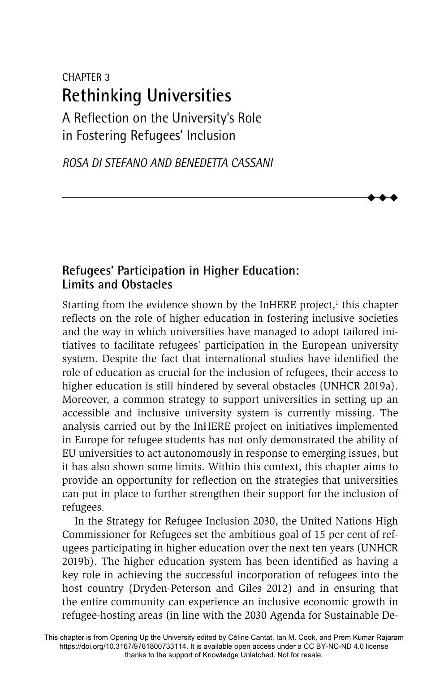# CHAPTER 3 **Rethinking Universities**

A Reflection on the University's Role in Fostering Refugees' Inclusion

*ROSA DI STEFANO AND BENEDETTA CASSANI*

## **Refugees' Participation in Higher Education: Limits and Obstacles**

Starting from the evidence shown by the InHERE project,<sup>1</sup> this chapter reflects on the role of higher education in fostering inclusive societies and the way in which universities have managed to adopt tailored initiatives to facilitate refugees' participation in the European university system. Despite the fact that international studies have identified the role of education as crucial for the inclusion of refugees, their access to higher education is still hindered by several obstacles (UNHCR 2019a). Moreover, a common strategy to support universities in setting up an accessible and inclusive university system is currently missing. The analysis carried out by the InHERE project on initiatives implemented in Europe for refugee students has not only demonstrated the ability of EU universities to act autonomously in response to emerging issues, but it has also shown some limits. Within this context, this chapter aims to provide an opportunity for reflection on the strategies that universities can put in place to further strengthen their support for the inclusion of refugees.

 $\blacklozenge$  $\blacklozenge$  $\blacklozenge$ 

In the Strategy for Refugee Inclusion 2030, the United Nations High Commissioner for Refugees set the ambitious goal of 15 per cent of refugees participating in higher education over the next ten years (UNHCR 2019b). The higher education system has been identified as having a key role in achieving the successful incorporation of refugees into the host country (Dryden-Peterson and Giles 2012) and in ensuring that the entire community can experience an inclusive economic growth in refugee-hosting areas (in line with the 2030 Agenda for Sustainable De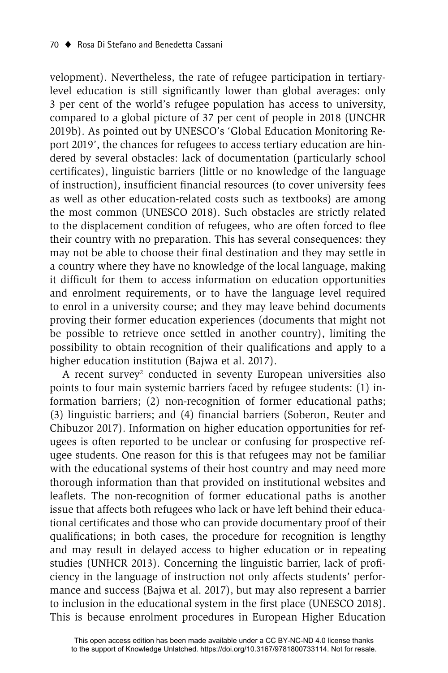velopment). Nevertheless, the rate of refugee participation in tertiarylevel education is still significantly lower than global averages: only 3 per cent of the world's refugee population has access to university, compared to a global picture of 37 per cent of people in 2018 (UNCHR 2019b). As pointed out by UNESCO's 'Global Education Monitoring Report 2019', the chances for refugees to access tertiary education are hindered by several obstacles: lack of documentation (particularly school certificates), linguistic barriers (little or no knowledge of the language of instruction), insufficient financial resources (to cover university fees as well as other education-related costs such as textbooks) are among the most common (UNESCO 2018). Such obstacles are strictly related to the displacement condition of refugees, who are often forced to flee their country with no preparation. This has several consequences: they may not be able to choose their final destination and they may settle in a country where they have no knowledge of the local language, making it difficult for them to access information on education opportunities and enrolment requirements, or to have the language level required to enrol in a university course; and they may leave behind documents proving their former education experiences (documents that might not be possible to retrieve once settled in another country), limiting the possibility to obtain recognition of their qualifications and apply to a higher education institution (Bajwa et al. 2017).

A recent survey<sup>2</sup> conducted in seventy European universities also points to four main systemic barriers faced by refugee students: (1) information barriers; (2) non-recognition of former educational paths; (3) linguistic barriers; and (4) financial barriers (Soberon, Reuter and Chibuzor 2017). Information on higher education opportunities for refugees is often reported to be unclear or confusing for prospective refugee students. One reason for this is that refugees may not be familiar with the educational systems of their host country and may need more thorough information than that provided on institutional websites and leaflets. The non-recognition of former educational paths is another issue that affects both refugees who lack or have left behind their educational certificates and those who can provide documentary proof of their qualifications; in both cases, the procedure for recognition is lengthy and may result in delayed access to higher education or in repeating studies (UNHCR 2013). Concerning the linguistic barrier, lack of proficiency in the language of instruction not only affects students' performance and success (Bajwa et al. 2017), but may also represent a barrier to inclusion in the educational system in the first place (UNESCO 2018). This is because enrolment procedures in European Higher Education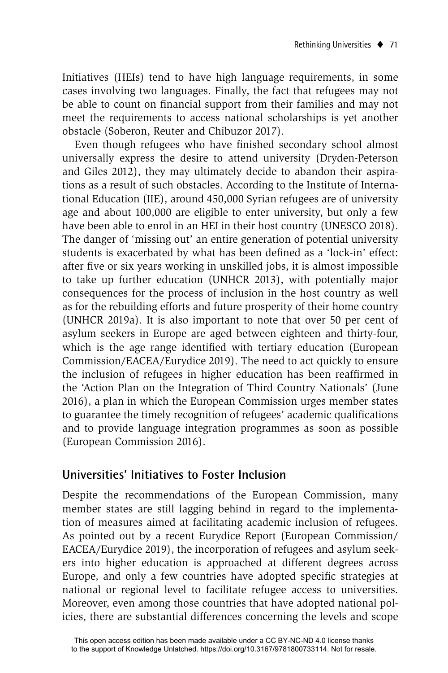Initiatives (HEIs) tend to have high language requirements, in some cases involving two languages. Finally, the fact that refugees may not be able to count on financial support from their families and may not meet the requirements to access national scholarships is yet another obstacle (Soberon, Reuter and Chibuzor 2017).

Even though refugees who have finished secondary school almost universally express the desire to attend university (Dryden-Peterson and Giles 2012), they may ultimately decide to abandon their aspirations as a result of such obstacles. According to the Institute of International Education (IIE), around 450,000 Syrian refugees are of university age and about 100,000 are eligible to enter university, but only a few have been able to enrol in an HEI in their host country (UNESCO 2018). The danger of 'missing out' an entire generation of potential university students is exacerbated by what has been defined as a 'lock-in' effect: after five or six years working in unskilled jobs, it is almost impossible to take up further education (UNHCR 2013), with potentially major consequences for the process of inclusion in the host country as well as for the rebuilding efforts and future prosperity of their home country (UNHCR 2019a). It is also important to note that over 50 per cent of asylum seekers in Europe are aged between eighteen and thirty-four, which is the age range identified with tertiary education (European Commission/EACEA/Eurydice 2019). The need to act quickly to ensure the inclusion of refugees in higher education has been reaffirmed in the 'Action Plan on the Integration of Third Country Nationals' (June 2016), a plan in which the European Commission urges member states to guarantee the timely recognition of refugees' academic qualifications and to provide language integration programmes as soon as possible (European Commission 2016).

### **Universities' Initiatives to Foster Inclusion**

Despite the recommendations of the European Commission, many member states are still lagging behind in regard to the implementation of measures aimed at facilitating academic inclusion of refugees. As pointed out by a recent Eurydice Report (European Commission/ EACEA/Eurydice 2019), the incorporation of refugees and asylum seekers into higher education is approached at different degrees across Europe, and only a few countries have adopted specific strategies at national or regional level to facilitate refugee access to universities. Moreover, even among those countries that have adopted national policies, there are substantial differences concerning the levels and scope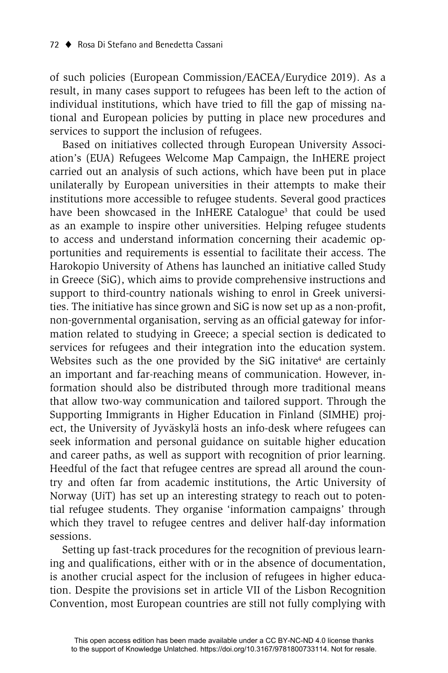of such policies (European Commission/EACEA/Eurydice 2019). As a result, in many cases support to refugees has been left to the action of individual institutions, which have tried to fill the gap of missing national and European policies by putting in place new procedures and services to support the inclusion of refugees.

Based on initiatives collected through European University Association's (EUA) Refugees Welcome Map Campaign, the InHERE project carried out an analysis of such actions, which have been put in place unilaterally by European universities in their attempts to make their institutions more accessible to refugee students. Several good practices have been showcased in the InHERE Catalogue<sup>3</sup> that could be used as an example to inspire other universities. Helping refugee students to access and understand information concerning their academic opportunities and requirements is essential to facilitate their access. The Harokopio University of Athens has launched an initiative called Study in Greece (SiG), which aims to provide comprehensive instructions and support to third-country nationals wishing to enrol in Greek universities. The initiative has since grown and SiG is now set up as a non-profit, non-governmental organisation, serving as an official gateway for information related to studying in Greece; a special section is dedicated to services for refugees and their integration into the education system. Websites such as the one provided by the SiG initative $4$  are certainly an important and far-reaching means of communication. However, information should also be distributed through more traditional means that allow two-way communication and tailored support. Through the Supporting Immigrants in Higher Education in Finland (SIMHE) project, the University of Jyväskylä hosts an info-desk where refugees can seek information and personal guidance on suitable higher education and career paths, as well as support with recognition of prior learning. Heedful of the fact that refugee centres are spread all around the country and often far from academic institutions, the Artic University of Norway (UiT) has set up an interesting strategy to reach out to potential refugee students. They organise 'information campaigns' through which they travel to refugee centres and deliver half-day information sessions.

Setting up fast-track procedures for the recognition of previous learning and qualifications, either with or in the absence of documentation, is another crucial aspect for the inclusion of refugees in higher education. Despite the provisions set in article VII of the Lisbon Recognition Convention, most European countries are still not fully complying with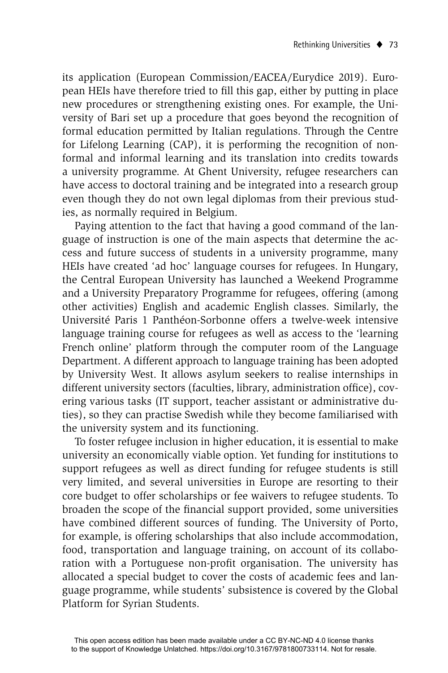its application (European Commission/EACEA/Eurydice 2019). European HEIs have therefore tried to fill this gap, either by putting in place new procedures or strengthening existing ones. For example, the University of Bari set up a procedure that goes beyond the recognition of formal education permitted by Italian regulations. Through the Centre for Lifelong Learning (CAP), it is performing the recognition of nonformal and informal learning and its translation into credits towards a university programme. At Ghent University, refugee researchers can have access to doctoral training and be integrated into a research group even though they do not own legal diplomas from their previous studies, as normally required in Belgium.

Paying attention to the fact that having a good command of the language of instruction is one of the main aspects that determine the access and future success of students in a university programme, many HEIs have created 'ad hoc' language courses for refugees. In Hungary, the Central European University has launched a Weekend Programme and a University Preparatory Programme for refugees, offering (among other activities) English and academic English classes. Similarly, the Université Paris 1 Panthéon-Sorbonne offers a twelve-week intensive language training course for refugees as well as access to the 'learning French online' platform through the computer room of the Language Department. A different approach to language training has been adopted by University West. It allows asylum seekers to realise internships in different university sectors (faculties, library, administration office), covering various tasks (IT support, teacher assistant or administrative duties), so they can practise Swedish while they become familiarised with the university system and its functioning.

To foster refugee inclusion in higher education, it is essential to make university an economically viable option. Yet funding for institutions to support refugees as well as direct funding for refugee students is still very limited, and several universities in Europe are resorting to their core budget to offer scholarships or fee waivers to refugee students. To broaden the scope of the financial support provided, some universities have combined different sources of funding. The University of Porto, for example, is offering scholarships that also include accommodation, food, transportation and language training, on account of its collaboration with a Portuguese non-profit organisation. The university has allocated a special budget to cover the costs of academic fees and language programme, while students' subsistence is covered by the Global Platform for Syrian Students.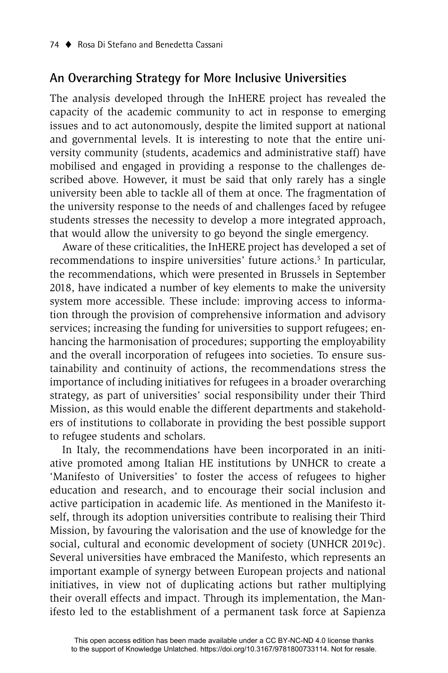### **An Overarching Strategy for More Inclusive Universities**

The analysis developed through the InHERE project has revealed the capacity of the academic community to act in response to emerging issues and to act autonomously, despite the limited support at national and governmental levels. It is interesting to note that the entire university community (students, academics and administrative staff) have mobilised and engaged in providing a response to the challenges described above. However, it must be said that only rarely has a single university been able to tackle all of them at once. The fragmentation of the university response to the needs of and challenges faced by refugee students stresses the necessity to develop a more integrated approach, that would allow the university to go beyond the single emergency.

Aware of these criticalities, the InHERE project has developed a set of recommendations to inspire universities' future actions.<sup>5</sup> In particular, the recommendations, which were presented in Brussels in September 2018, have indicated a number of key elements to make the university system more accessible. These include: improving access to information through the provision of comprehensive information and advisory services; increasing the funding for universities to support refugees; enhancing the harmonisation of procedures; supporting the employability and the overall incorporation of refugees into societies. To ensure sustainability and continuity of actions, the recommendations stress the importance of including initiatives for refugees in a broader overarching strategy, as part of universities' social responsibility under their Third Mission, as this would enable the different departments and stakeholders of institutions to collaborate in providing the best possible support to refugee students and scholars.

In Italy, the recommendations have been incorporated in an initiative promoted among Italian HE institutions by UNHCR to create a 'Manifesto of Universities' to foster the access of refugees to higher education and research, and to encourage their social inclusion and active participation in academic life. As mentioned in the Manifesto itself, through its adoption universities contribute to realising their Third Mission, by favouring the valorisation and the use of knowledge for the social, cultural and economic development of society (UNHCR 2019c). Several universities have embraced the Manifesto, which represents an important example of synergy between European projects and national initiatives, in view not of duplicating actions but rather multiplying their overall effects and impact. Through its implementation, the Manifesto led to the establishment of a permanent task force at Sapienza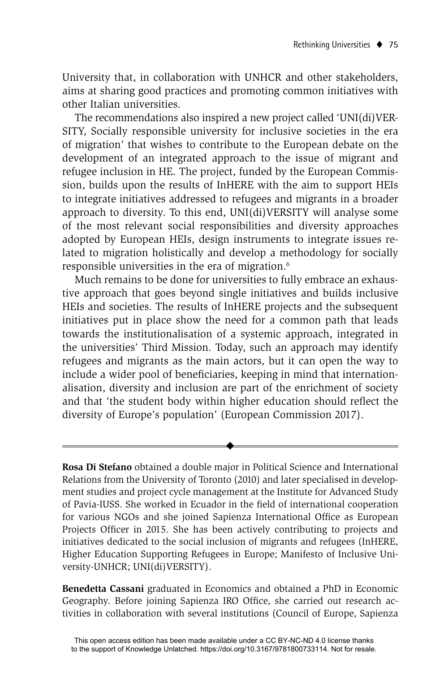University that, in collaboration with UNHCR and other stakeholders, aims at sharing good practices and promoting common initiatives with other Italian universities.

The recommendations also inspired a new project called 'UNI(di)VER-SITY, Socially responsible university for inclusive societies in the era of migration' that wishes to contribute to the European debate on the development of an integrated approach to the issue of migrant and refugee inclusion in HE. The project, funded by the European Commission, builds upon the results of InHERE with the aim to support HEIs to integrate initiatives addressed to refugees and migrants in a broader approach to diversity. To this end, UNI(di)VERSITY will analyse some of the most relevant social responsibilities and diversity approaches adopted by European HEIs, design instruments to integrate issues related to migration holistically and develop a methodology for socially responsible universities in the era of migration.<sup>6</sup>

Much remains to be done for universities to fully embrace an exhaustive approach that goes beyond single initiatives and builds inclusive HEIs and societies. The results of InHERE projects and the subsequent initiatives put in place show the need for a common path that leads towards the institutionalisation of a systemic approach, integrated in the universities' Third Mission. Today, such an approach may identify refugees and migrants as the main actors, but it can open the way to include a wider pool of beneficiaries, keeping in mind that internationalisation, diversity and inclusion are part of the enrichment of society and that 'the student body within higher education should reflect the diversity of Europe's population' (European Commission 2017).

**Rosa Di Stefano** obtained a double major in Political Science and International Relations from the University of Toronto (2010) and later specialised in development studies and project cycle management at the Institute for Advanced Study of Pavia-IUSS. She worked in Ecuador in the field of international cooperation for various NGOs and she joined Sapienza International Office as European Projects Officer in 2015. She has been actively contributing to projects and initiatives dedicated to the social inclusion of migrants and refugees (InHERE, Higher Education Supporting Refugees in Europe; Manifesto of Inclusive University-UNHCR; UNI(di)VERSITY).

 $\blacklozenge$ 

**Benedetta Cassani** graduated in Economics and obtained a PhD in Economic Geography. Before joining Sapienza IRO Office, she carried out research activities in collaboration with several institutions (Council of Europe, Sapienza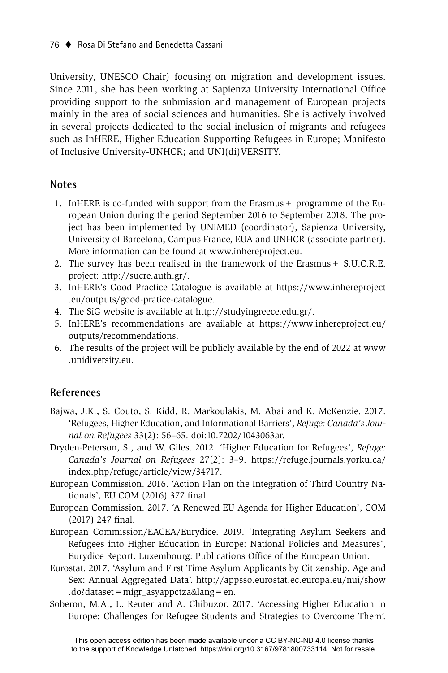University, UNESCO Chair) focusing on migration and development issues. Since 2011, she has been working at Sapienza University International Office providing support to the submission and management of European projects mainly in the area of social sciences and humanities. She is actively involved in several projects dedicated to the social inclusion of migrants and refugees such as InHERE, Higher Education Supporting Refugees in Europe; Manifesto of Inclusive University-UNHCR; and UNI(di)VERSITY.

#### **Notes**

- 1. InHERE is co-funded with support from the Erasmus + programme of the European Union during the period September 2016 to September 2018. The project has been implemented by UNIMED (coordinator), Sapienza University, University of Barcelona, Campus France, EUA and UNHCR (associate partner). More information can be found at www.inhereproject.eu.
- 2. The survey has been realised in the framework of the Erasmus+ S.U.C.R.E. project: http://sucre.auth.gr/.
- 3. InHERE's Good Practice Catalogue is available at https://www.inhereproject .eu/outputs/good-pratice-catalogue.
- 4. The SiG website is available at http://studyingreece.edu.gr/.
- 5. InHERE's recommendations are available at https://www.inhereproject.eu/ outputs/recommendations.
- 6. The results of the project will be publicly available by the end of 2022 at www .unidiversity.eu.

#### **References**

- Bajwa, J.K., S. Couto, S. Kidd, R. Markoulakis, M. Abai and K. McKenzie. 2017. 'Refugees, Higher Education, and Informational Barriers', *Refuge: Canada's Journal on Refugees* 33(2): 56–65. doi:10.7202/1043063ar.
- Dryden-Peterson, S., and W. Giles. 2012. 'Higher Education for Refugees', Refuge: *Canada's Journal on Refugees* 27(2): 3–9. https://refuge.journals.yorku.ca/ index.php/refuge/article/view/34717.
- European Commission. 2016. 'Action Plan on the Integration of Third Country Nationals', EU COM (2016) 377 final.
- European Commission. 2017. 'A Renewed EU Agenda for Higher Education', COM  $(2017)$  247 final.
- European Commission/EACEA/Eurydice. 2019. 'Integrating Asylum Seekers and Refugees into Higher Education in Europe: National Policies and Measures', Eurydice Report. Luxembourg: Publications Office of the European Union.
- Eurostat. 2017. 'Asylum and First Time Asylum Applicants by Citizenship, Age and Sex: Annual Aggregated Data'. http://appsso.eurostat.ec.europa.eu/nui/show .do?dataset=migr\_asyappctza&lang=en.
- Soberon, M.A., L. Reuter and A. Chibuzor. 2017. 'Accessing Higher Education in Europe: Challenges for Refugee Students and Strategies to Overcome Them'.